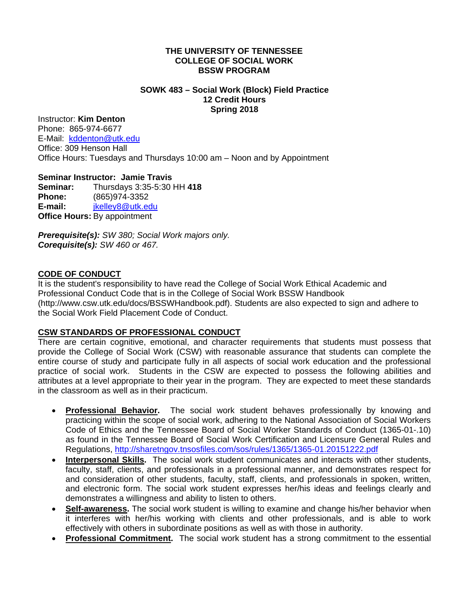#### **THE UNIVERSITY OF TENNESSEE COLLEGE OF SOCIAL WORK BSSW PROGRAM**

#### **SOWK 483 – Social Work (Block) Field Practice 12 Credit Hours Spring 2018**

## Instructor: **Kim Denton**

Phone: 865-974-6677 E-Mail: kddenton@utk.edu Office: 309 Henson Hall Office Hours: Tuesdays and Thursdays 10:00 am – Noon and by Appointment

### **Seminar Instructor: Jamie Travis**

**Seminar:** Thursdays 3:35-5:30 HH **418 Phone:** (865)974-3352 **E-mail:** jkelley8@utk.edu **Office Hours:** By appointment

*Prerequisite(s): SW 380; Social Work majors only. Corequisite(s): SW 460 or 467.*

### **CODE OF CONDUCT**

It is the student's responsibility to have read the College of Social Work Ethical Academic and Professional Conduct Code that is in the College of Social Work BSSW Handbook (http://www.csw.utk.edu/docs/BSSWHandbook.pdf). Students are also expected to sign and adhere to the Social Work Field Placement Code of Conduct.

## **CSW STANDARDS OF PROFESSIONAL CONDUCT**

There are certain cognitive, emotional, and character requirements that students must possess that provide the College of Social Work (CSW) with reasonable assurance that students can complete the entire course of study and participate fully in all aspects of social work education and the professional practice of social work. Students in the CSW are expected to possess the following abilities and attributes at a level appropriate to their year in the program. They are expected to meet these standards in the classroom as well as in their practicum.

- **Professional Behavior.** The social work student behaves professionally by knowing and practicing within the scope of social work, adhering to the National Association of Social Workers Code of Ethics and the Tennessee Board of Social Worker Standards of Conduct (1365-01-.10) as found in the Tennessee Board of Social Work Certification and Licensure General Rules and Regulations, http://sharetngov.tnsosfiles.com/sos/rules/1365/1365-01.20151222.pdf
- **Interpersonal Skills.** The social work student communicates and interacts with other students, faculty, staff, clients, and professionals in a professional manner, and demonstrates respect for and consideration of other students, faculty, staff, clients, and professionals in spoken, written, and electronic form. The social work student expresses her/his ideas and feelings clearly and demonstrates a willingness and ability to listen to others.
- **Self-awareness.** The social work student is willing to examine and change his/her behavior when it interferes with her/his working with clients and other professionals, and is able to work effectively with others in subordinate positions as well as with those in authority.
- **Professional Commitment.** The social work student has a strong commitment to the essential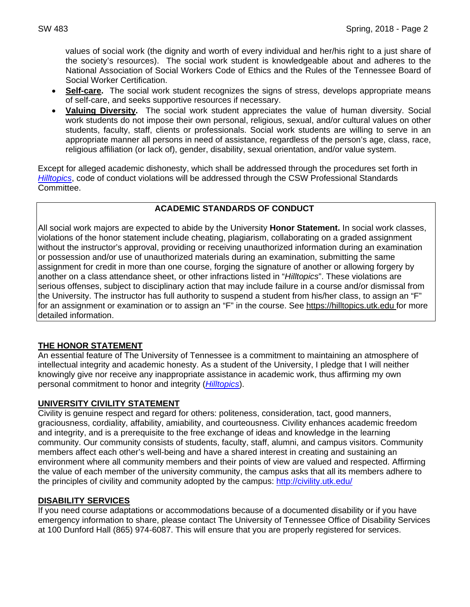values of social work (the dignity and worth of every individual and her/his right to a just share of the society's resources). The social work student is knowledgeable about and adheres to the National Association of Social Workers Code of Ethics and the Rules of the Tennessee Board of Social Worker Certification.

- **Self-care.** The social work student recognizes the signs of stress, develops appropriate means of self-care, and seeks supportive resources if necessary.
- **Valuing Diversity.** The social work student appreciates the value of human diversity. Social work students do not impose their own personal, religious, sexual, and/or cultural values on other students, faculty, staff, clients or professionals. Social work students are willing to serve in an appropriate manner all persons in need of assistance, regardless of the person's age, class, race, religious affiliation (or lack of), gender, disability, sexual orientation, and/or value system.

Except for alleged academic dishonesty, which shall be addressed through the procedures set forth in *Hilltopics*, code of conduct violations will be addressed through the CSW Professional Standards Committee.

## **ACADEMIC STANDARDS OF CONDUCT**

All social work majors are expected to abide by the University **Honor Statement.** In social work classes, violations of the honor statement include cheating, plagiarism, collaborating on a graded assignment without the instructor's approval, providing or receiving unauthorized information during an examination or possession and/or use of unauthorized materials during an examination, submitting the same assignment for credit in more than one course, forging the signature of another or allowing forgery by another on a class attendance sheet, or other infractions listed in "*Hilltopics*". These violations are serious offenses, subject to disciplinary action that may include failure in a course and/or dismissal from the University. The instructor has full authority to suspend a student from his/her class, to assign an "F" for an assignment or examination or to assign an "F" in the course. See https://hilltopics.utk.edu for more detailed information.

# **THE HONOR STATEMENT**

An essential feature of The University of Tennessee is a commitment to maintaining an atmosphere of intellectual integrity and academic honesty. As a student of the University, I pledge that I will neither knowingly give nor receive any inappropriate assistance in academic work, thus affirming my own personal commitment to honor and integrity (*Hilltopics*).

## **UNIVERSITY CIVILITY STATEMENT**

Civility is genuine respect and regard for others: politeness, consideration, tact, good manners, graciousness, cordiality, affability, amiability, and courteousness. Civility enhances academic freedom and integrity, and is a prerequisite to the free exchange of ideas and knowledge in the learning community. Our community consists of students, faculty, staff, alumni, and campus visitors. Community members affect each other's well-being and have a shared interest in creating and sustaining an environment where all community members and their points of view are valued and respected. Affirming the value of each member of the university community, the campus asks that all its members adhere to the principles of civility and community adopted by the campus: http://civility.utk.edu/

## **DISABILITY SERVICES**

If you need course adaptations or accommodations because of a documented disability or if you have emergency information to share, please contact The University of Tennessee Office of Disability Services at 100 Dunford Hall (865) 974-6087. This will ensure that you are properly registered for services.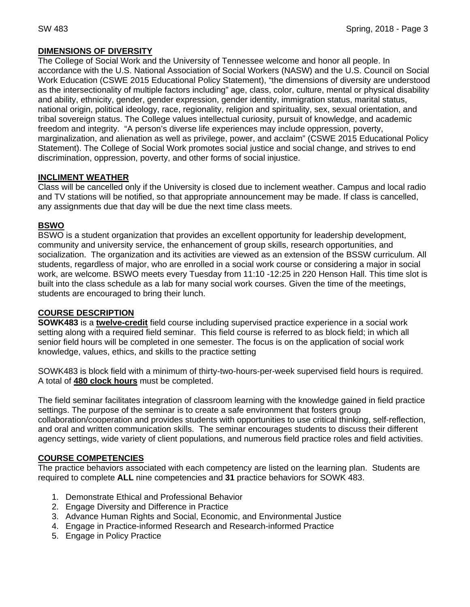# **DIMENSIONS OF DIVERSITY**

The College of Social Work and the University of Tennessee welcome and honor all people. In accordance with the U.S. National Association of Social Workers (NASW) and the U.S. Council on Social Work Education (CSWE 2015 Educational Policy Statement), "the dimensions of diversity are understood as the intersectionality of multiple factors including" age, class, color, culture, mental or physical disability and ability, ethnicity, gender, gender expression, gender identity, immigration status, marital status, national origin, political ideology, race, regionality, religion and spirituality, sex, sexual orientation, and tribal sovereign status. The College values intellectual curiosity, pursuit of knowledge, and academic freedom and integrity. "A person's diverse life experiences may include oppression, poverty, marginalization, and alienation as well as privilege, power, and acclaim" (CSWE 2015 Educational Policy Statement). The College of Social Work promotes social justice and social change, and strives to end discrimination, oppression, poverty, and other forms of social injustice.

## **INCLIMENT WEATHER**

Class will be cancelled only if the University is closed due to inclement weather. Campus and local radio and TV stations will be notified, so that appropriate announcement may be made. If class is cancelled, any assignments due that day will be due the next time class meets.

# **BSWO**

BSWO is a student organization that provides an excellent opportunity for leadership development, community and university service, the enhancement of group skills, research opportunities, and socialization. The organization and its activities are viewed as an extension of the BSSW curriculum. All students, regardless of major, who are enrolled in a social work course or considering a major in social work, are welcome. BSWO meets every Tuesday from 11:10 -12:25 in 220 Henson Hall. This time slot is built into the class schedule as a lab for many social work courses. Given the time of the meetings, students are encouraged to bring their lunch.

## **COURSE DESCRIPTION**

**SOWK483** is a **twelve-credit** field course including supervised practice experience in a social work setting along with a required field seminar. This field course is referred to as block field; in which all senior field hours will be completed in one semester. The focus is on the application of social work knowledge, values, ethics, and skills to the practice setting

SOWK483 is block field with a minimum of thirty-two-hours-per-week supervised field hours is required. A total of **480 clock hours** must be completed.

The field seminar facilitates integration of classroom learning with the knowledge gained in field practice settings. The purpose of the seminar is to create a safe environment that fosters group collaboration/cooperation and provides students with opportunities to use critical thinking, self-reflection, and oral and written communication skills. The seminar encourages students to discuss their different agency settings, wide variety of client populations, and numerous field practice roles and field activities.

# **COURSE COMPETENCIES**

The practice behaviors associated with each competency are listed on the learning plan. Students are required to complete **ALL** nine competencies and **31** practice behaviors for SOWK 483.

- 1. Demonstrate Ethical and Professional Behavior
- 2. Engage Diversity and Difference in Practice
- 3. Advance Human Rights and Social, Economic, and Environmental Justice
- 4. Engage in Practice-informed Research and Research-informed Practice
- 5. Engage in Policy Practice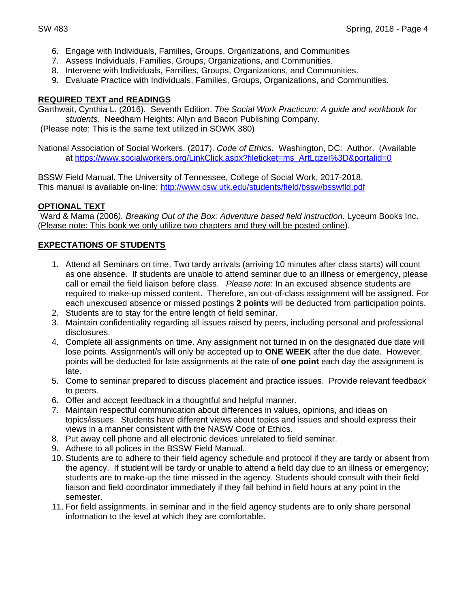- 6. Engage with Individuals, Families, Groups, Organizations, and Communities
- 7. Assess Individuals, Families, Groups, Organizations, and Communities.
- 8. Intervene with Individuals, Families, Groups, Organizations, and Communities.
- 9. Evaluate Practice with Individuals, Families, Groups, Organizations, and Communities.

#### **REQUIRED TEXT and READINGS**

Garthwait, Cynthia L. (2016). Seventh Edition. *The Social Work Practicum: A guide and workbook for students*. Needham Heights: Allyn and Bacon Publishing Company.

(Please note: This is the same text utilized in SOWK 380)

National Association of Social Workers. (2017). *Code of Ethics.* Washington, DC: Author. (Available at https://www.socialworkers.org/LinkClick.aspx?fileticket=ms\_ArtLqzeI%3D&portalid=0

BSSW Field Manual. The University of Tennessee, College of Social Work, 2017-2018. This manual is available on-line: http://www.csw.utk.edu/students/field/bssw/bsswfld.pdf

### **OPTIONAL TEXT**

Ward & Mama (2006*). Breaking Out of the Box: Adventure based field instruction*. Lyceum Books Inc. (Please note: This book we only utilize two chapters and they will be posted online).

### **EXPECTATIONS OF STUDENTS**

- 1. Attend all Seminars on time. Two tardy arrivals (arriving 10 minutes after class starts) will count as one absence. If students are unable to attend seminar due to an illness or emergency, please call or email the field liaison before class. *Please note*: In an excused absence students are required to make-up missed content. Therefore, an out-of-class assignment will be assigned. For each unexcused absence or missed postings **2 points** will be deducted from participation points.
- 2. Students are to stay for the entire length of field seminar.
- 3. Maintain confidentiality regarding all issues raised by peers, including personal and professional disclosures.
- 4. Complete all assignments on time. Any assignment not turned in on the designated due date will lose points. Assignment/s will only be accepted up to **ONE WEEK** after the due date. However, points will be deducted for late assignments at the rate of **one point** each day the assignment is late.
- 5. Come to seminar prepared to discuss placement and practice issues. Provide relevant feedback to peers.
- 6. Offer and accept feedback in a thoughtful and helpful manner.
- 7. Maintain respectful communication about differences in values, opinions, and ideas on topics/issues. Students have different views about topics and issues and should express their views in a manner consistent with the NASW Code of Ethics.
- 8. Put away cell phone and all electronic devices unrelated to field seminar.
- 9. Adhere to all polices in the BSSW Field Manual.
- 10. Students are to adhere to their field agency schedule and protocol if they are tardy or absent from the agency. If student will be tardy or unable to attend a field day due to an illness or emergency; students are to make-up the time missed in the agency. Students should consult with their field liaison and field coordinator immediately if they fall behind in field hours at any point in the semester.
- 11. For field assignments, in seminar and in the field agency students are to only share personal information to the level at which they are comfortable.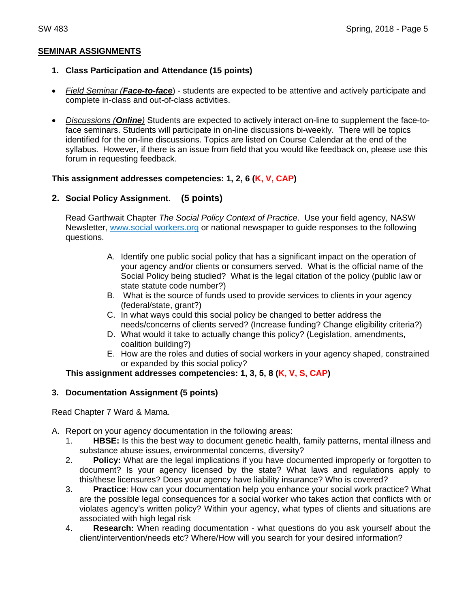### **SEMINAR ASSIGNMENTS**

### **1. Class Participation and Attendance (15 points)**

- *Field Seminar (Face-to-face*) students are expected to be attentive and actively participate and complete in-class and out-of-class activities.
- *Discussions (Online)* Students are expected to actively interact on-line to supplement the face-toface seminars. Students will participate in on-line discussions bi-weekly. There will be topics identified for the on-line discussions. Topics are listed on Course Calendar at the end of the syllabus. However, if there is an issue from field that you would like feedback on, please use this forum in requesting feedback.

### **This assignment addresses competencies: 1, 2, 6 (K, V, CAP)**

## **2. Social Policy Assignment**. **(5 points)**

Read Garthwait Chapter *The Social Policy Context of Practice*. Use your field agency, NASW Newsletter, www.social workers.org or national newspaper to guide responses to the following questions.

- A. Identify one public social policy that has a significant impact on the operation of your agency and/or clients or consumers served. What is the official name of the Social Policy being studied? What is the legal citation of the policy (public law or state statute code number?)
- B. What is the source of funds used to provide services to clients in your agency (federal/state, grant?)
- C. In what ways could this social policy be changed to better address the needs/concerns of clients served? (Increase funding? Change eligibility criteria?)
- D. What would it take to actually change this policy? (Legislation, amendments, coalition building?)
- E. How are the roles and duties of social workers in your agency shaped, constrained or expanded by this social policy?

## **This assignment addresses competencies: 1, 3, 5, 8 (K, V, S, CAP)**

## **3. Documentation Assignment (5 points)**

Read Chapter 7 Ward & Mama.

- A. Report on your agency documentation in the following areas:
	- 1. **HBSE:** Is this the best way to document genetic health, family patterns, mental illness and substance abuse issues, environmental concerns, diversity?
	- 2. **Policy:** What are the legal implications if you have documented improperly or forgotten to document? Is your agency licensed by the state? What laws and regulations apply to this/these licensures? Does your agency have liability insurance? Who is covered?
	- 3. **Practice**: How can your documentation help you enhance your social work practice? What are the possible legal consequences for a social worker who takes action that conflicts with or violates agency's written policy? Within your agency, what types of clients and situations are associated with high legal risk
	- 4. **Research:** When reading documentation what questions do you ask yourself about the client/intervention/needs etc? Where/How will you search for your desired information?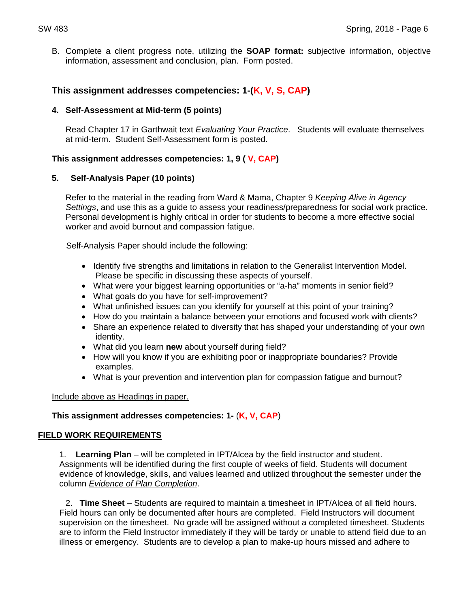B. Complete a client progress note, utilizing the **SOAP format:** subjective information, objective information, assessment and conclusion, plan. Form posted.

## **This assignment addresses competencies: 1-(K, V, S, CAP)**

#### **4. Self-Assessment at Mid-term (5 points)**

Read Chapter 17 in Garthwait text *Evaluating Your Practice*. Students will evaluate themselves at mid-term. Student Self-Assessment form is posted.

### **This assignment addresses competencies: 1, 9 ( V, CAP)**

### **5. Self-Analysis Paper (10 points)**

Refer to the material in the reading from Ward & Mama, Chapter 9 *Keeping Alive in Agency Settings*, and use this as a guide to assess your readiness/preparedness for social work practice. Personal development is highly critical in order for students to become a more effective social worker and avoid burnout and compassion fatigue.

Self-Analysis Paper should include the following:

- Identify five strengths and limitations in relation to the Generalist Intervention Model. Please be specific in discussing these aspects of yourself.
- What were your biggest learning opportunities or "a-ha" moments in senior field?
- What goals do you have for self-improvement?
- What unfinished issues can you identify for yourself at this point of your training?
- How do you maintain a balance between your emotions and focused work with clients?
- Share an experience related to diversity that has shaped your understanding of your own identity.
- What did you learn **new** about yourself during field?
- How will you know if you are exhibiting poor or inappropriate boundaries? Provide examples.
- What is your prevention and intervention plan for compassion fatigue and burnout?

Include above as Headings in paper.

#### **This assignment addresses competencies: 1-** (**K, V, CAP**)

#### **FIELD WORK REQUIREMENTS**

1. **Learning Plan** – will be completed in IPT/Alcea by the field instructor and student. Assignments will be identified during the first couple of weeks of field. Students will document evidence of knowledge, skills, and values learned and utilized throughout the semester under the column *Evidence of Plan Completion*.

 2. **Time Sheet** – Students are required to maintain a timesheet in IPT/Alcea of all field hours. Field hours can only be documented after hours are completed. Field Instructors will document supervision on the timesheet. No grade will be assigned without a completed timesheet. Students are to inform the Field Instructor immediately if they will be tardy or unable to attend field due to an illness or emergency. Students are to develop a plan to make-up hours missed and adhere to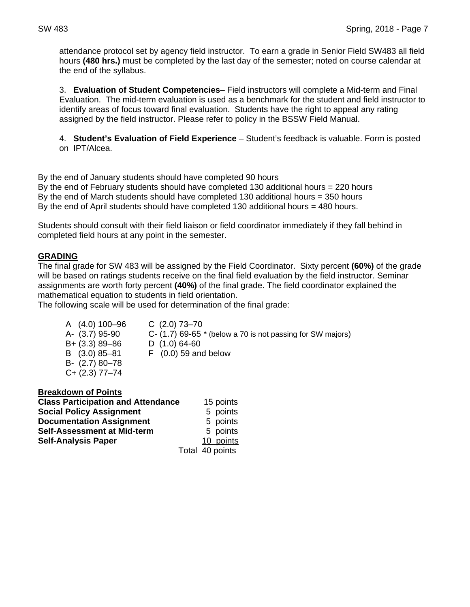attendance protocol set by agency field instructor. To earn a grade in Senior Field SW483 all field hours **(480 hrs.)** must be completed by the last day of the semester; noted on course calendar at the end of the syllabus.

3. **Evaluation of Student Competencies**– Field instructors will complete a Mid-term and Final Evaluation. The mid-term evaluation is used as a benchmark for the student and field instructor to identify areas of focus toward final evaluation. Students have the right to appeal any rating assigned by the field instructor. Please refer to policy in the BSSW Field Manual.

4. **Student's Evaluation of Field Experience** – Student's feedback is valuable. Form is posted on IPT/Alcea.

By the end of January students should have completed 90 hours By the end of February students should have completed 130 additional hours = 220 hours By the end of March students should have completed 130 additional hours = 350 hours By the end of April students should have completed 130 additional hours = 480 hours.

Students should consult with their field liaison or field coordinator immediately if they fall behind in completed field hours at any point in the semester.

### **GRADING**

The final grade for SW 483 will be assigned by the Field Coordinator. Sixty percent **(60%)** of the grade will be based on ratings students receive on the final field evaluation by the field instructor. Seminar assignments are worth forty percent **(40%)** of the final grade. The field coordinator explained the mathematical equation to students in field orientation.

The following scale will be used for determination of the final grade:

A (4.0) 100–96 C (2.0) 73–70 B+ (3.3) 89–86 D (1.0) 64-60 B- (2.7) 80–78 C+ (2.3) 77–74

A- (3.7) 95-90 C- (1.7) 69-65 \* (below a 70 is not passing for SW majors)

B (3.0) 85–81 F (0.0) 59 and below

| <b>Breakdown of Points</b> |  |
|----------------------------|--|
|----------------------------|--|

| <b>Class Participation and Attendance</b> | 15 points       |
|-------------------------------------------|-----------------|
| <b>Social Policy Assignment</b>           | 5 points        |
| <b>Documentation Assignment</b>           | 5 points        |
| Self-Assessment at Mid-term               | 5 points        |
| <b>Self-Analysis Paper</b>                | 10 points       |
|                                           | Total 40 points |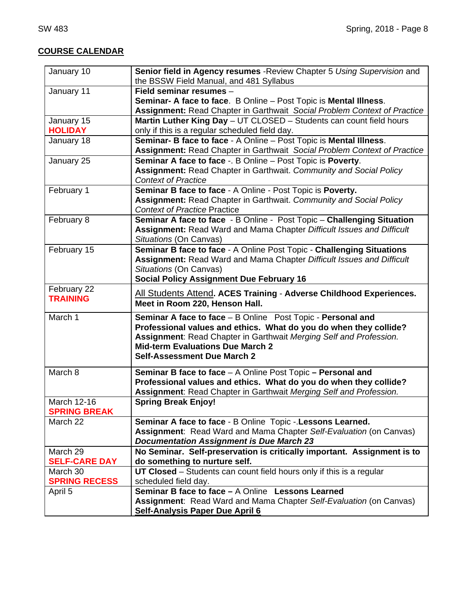# **COURSE CALENDAR**

| January 10                     | Senior field in Agency resumes - Review Chapter 5 Using Supervision and<br>the BSSW Field Manual, and 481 Syllabus |
|--------------------------------|--------------------------------------------------------------------------------------------------------------------|
| January 11                     | Field seminar resumes -                                                                                            |
|                                | Seminar- A face to face. B Online - Post Topic is Mental Illness.                                                  |
|                                | Assignment: Read Chapter in Garthwait Social Problem Context of Practice                                           |
| January 15                     | Martin Luther King Day - UT CLOSED - Students can count field hours                                                |
| <b>HOLIDAY</b>                 | only if this is a regular scheduled field day.                                                                     |
| January 18                     | Seminar- B face to face - A Online - Post Topic is Mental Illness.                                                 |
|                                | Assignment: Read Chapter in Garthwait Social Problem Context of Practice                                           |
| January 25                     | Seminar A face to face -. B Online - Post Topic is Poverty.                                                        |
|                                | Assignment: Read Chapter in Garthwait. Community and Social Policy                                                 |
|                                | <b>Context of Practice</b>                                                                                         |
| February 1                     | Seminar B face to face - A Online - Post Topic is Poverty.                                                         |
|                                | Assignment: Read Chapter in Garthwait. Community and Social Policy                                                 |
|                                | <b>Context of Practice Practice</b>                                                                                |
| February 8                     | Seminar A face to face - B Online - Post Topic - Challenging Situation                                             |
|                                | Assignment: Read Ward and Mama Chapter Difficult Issues and Difficult                                              |
|                                | Situations (On Canvas)                                                                                             |
| February 15                    | Seminar B face to face - A Online Post Topic - Challenging Situations                                              |
|                                | Assignment: Read Ward and Mama Chapter Difficult Issues and Difficult                                              |
|                                | Situations (On Canvas)                                                                                             |
|                                | <b>Social Policy Assignment Due February 16</b>                                                                    |
| February 22<br><b>TRAINING</b> | All Students Attend. ACES Training - Adverse Childhood Experiences.                                                |
|                                | Meet in Room 220, Henson Hall.                                                                                     |
| March 1                        | Seminar A face to face - B Online Post Topic - Personal and                                                        |
|                                | Professional values and ethics. What do you do when they collide?                                                  |
|                                | Assignment: Read Chapter in Garthwait Merging Self and Profession.                                                 |
|                                | <b>Mid-term Evaluations Due March 2</b>                                                                            |
|                                | <b>Self-Assessment Due March 2</b>                                                                                 |
| March 8                        | Seminar B face to face - A Online Post Topic - Personal and                                                        |
|                                | Professional values and ethics. What do you do when they collide?                                                  |
|                                | Assignment: Read Chapter in Garthwait Merging Self and Profession.                                                 |
| March 12-16                    | <b>Spring Break Enjoy!</b>                                                                                         |
| <b>SPRING BREAK</b>            |                                                                                                                    |
| March 22                       | Seminar A face to face - B Online Topic - Lessons Learned.                                                         |
|                                | Assignment: Read Ward and Mama Chapter Self-Evaluation (on Canvas)                                                 |
|                                | <b>Documentation Assignment is Due March 23</b>                                                                    |
| March 29                       | No Seminar. Self-preservation is critically important. Assignment is to                                            |
| <b>SELF-CARE DAY</b>           | do something to nurture self.                                                                                      |
| March 30                       | UT Closed – Students can count field hours only if this is a regular                                               |
| <b>SPRING RECESS</b>           | scheduled field day.                                                                                               |
| April 5                        | <b>Seminar B face to face - A Online Lessons Learned</b>                                                           |
|                                |                                                                                                                    |
|                                | Assignment: Read Ward and Mama Chapter Self-Evaluation (on Canvas)                                                 |